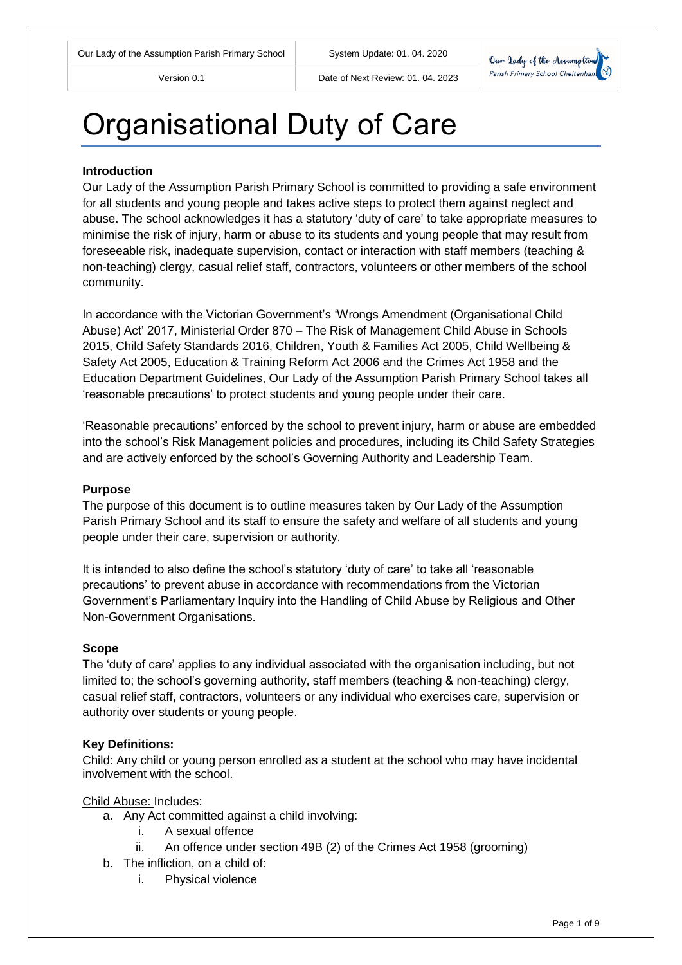Version 0.1 Date of Next Review: 01. 04. 2023



# Organisational Duty of Care

## **Introduction**

Our Lady of the Assumption Parish Primary School is committed to providing a safe environment for all students and young people and takes active steps to protect them against neglect and abuse. The school acknowledges it has a statutory 'duty of care' to take appropriate measures to minimise the risk of injury, harm or abuse to its students and young people that may result from foreseeable risk, inadequate supervision, contact or interaction with staff members (teaching & non-teaching) clergy, casual relief staff, contractors, volunteers or other members of the school community.

In accordance with the Victorian Government's 'Wrongs Amendment (Organisational Child Abuse) Act' 2017, Ministerial Order 870 – The Risk of Management Child Abuse in Schools 2015, Child Safety Standards 2016, Children, Youth & Families Act 2005, Child Wellbeing & Safety Act 2005, Education & Training Reform Act 2006 and the Crimes Act 1958 and the Education Department Guidelines, Our Lady of the Assumption Parish Primary School takes all 'reasonable precautions' to protect students and young people under their care.

'Reasonable precautions' enforced by the school to prevent injury, harm or abuse are embedded into the school's Risk Management policies and procedures, including its Child Safety Strategies and are actively enforced by the school's Governing Authority and Leadership Team.

## **Purpose**

The purpose of this document is to outline measures taken by Our Lady of the Assumption Parish Primary School and its staff to ensure the safety and welfare of all students and young people under their care, supervision or authority.

It is intended to also define the school's statutory 'duty of care' to take all 'reasonable precautions' to prevent abuse in accordance with recommendations from the Victorian Government's Parliamentary Inquiry into the Handling of Child Abuse by Religious and Other Non-Government Organisations.

#### **Scope**

The 'duty of care' applies to any individual associated with the organisation including, but not limited to; the school's governing authority, staff members (teaching & non-teaching) clergy, casual relief staff, contractors, volunteers or any individual who exercises care, supervision or authority over students or young people.

## **Key Definitions:**

Child: Any child or young person enrolled as a student at the school who may have incidental involvement with the school.

Child Abuse: Includes:

- a. Any Act committed against a child involving:
	- i. A sexual offence
	- ii. An offence under section 49B (2) of the Crimes Act 1958 (grooming)
- b. The infliction, on a child of:
	- i. Physical violence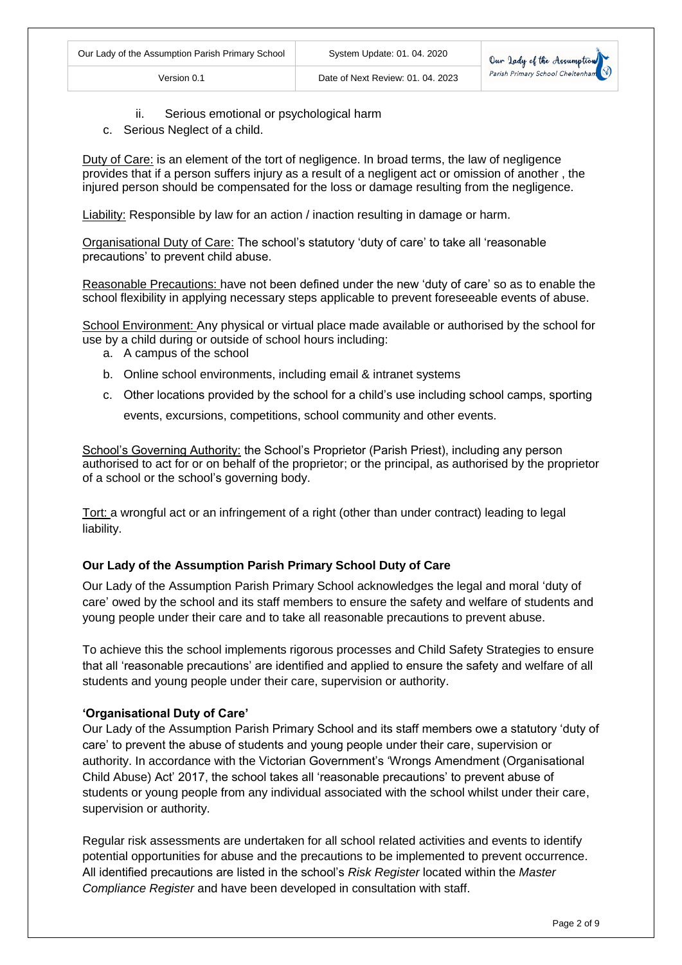

- ii. Serious emotional or psychological harm
- c. Serious Neglect of a child.

Duty of Care: is an element of the tort of negligence. In broad terms, the law of negligence provides that if a person suffers injury as a result of a negligent act or omission of another , the injured person should be compensated for the loss or damage resulting from the negligence.

Liability: Responsible by law for an action / inaction resulting in damage or harm.

Organisational Duty of Care: The school's statutory 'duty of care' to take all 'reasonable precautions' to prevent child abuse.

Reasonable Precautions: have not been defined under the new 'duty of care' so as to enable the school flexibility in applying necessary steps applicable to prevent foreseeable events of abuse.

School Environment: Any physical or virtual place made available or authorised by the school for use by a child during or outside of school hours including:

- a. A campus of the school
- b. Online school environments, including email & intranet systems
- c. Other locations provided by the school for a child's use including school camps, sporting

events, excursions, competitions, school community and other events.

School's Governing Authority: the School's Proprietor (Parish Priest), including any person authorised to act for or on behalf of the proprietor; or the principal, as authorised by the proprietor of a school or the school's governing body.

Tort: a wrongful act or an infringement of a right (other than under contract) leading to legal liability.

## **Our Lady of the Assumption Parish Primary School Duty of Care**

Our Lady of the Assumption Parish Primary School acknowledges the legal and moral 'duty of care' owed by the school and its staff members to ensure the safety and welfare of students and young people under their care and to take all reasonable precautions to prevent abuse.

To achieve this the school implements rigorous processes and Child Safety Strategies to ensure that all 'reasonable precautions' are identified and applied to ensure the safety and welfare of all students and young people under their care, supervision or authority.

## **'Organisational Duty of Care'**

Our Lady of the Assumption Parish Primary School and its staff members owe a statutory 'duty of care' to prevent the abuse of students and young people under their care, supervision or authority. In accordance with the Victorian Government's 'Wrongs Amendment (Organisational Child Abuse) Act' 2017, the school takes all 'reasonable precautions' to prevent abuse of students or young people from any individual associated with the school whilst under their care, supervision or authority.

Regular risk assessments are undertaken for all school related activities and events to identify potential opportunities for abuse and the precautions to be implemented to prevent occurrence. All identified precautions are listed in the school's *Risk Register* located within the *Master Compliance Register* and have been developed in consultation with staff.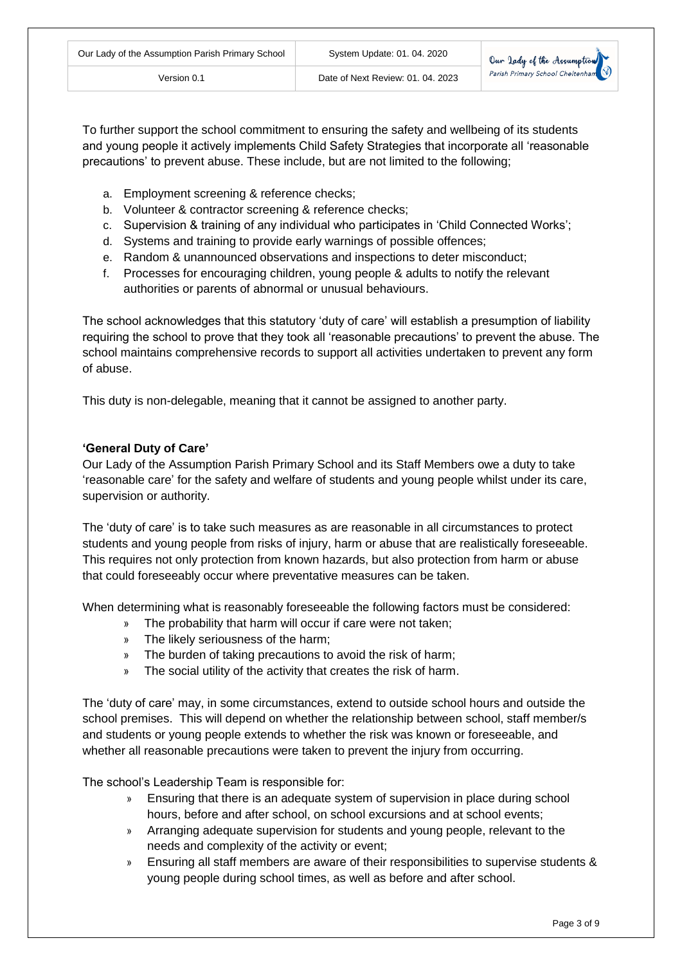Our lady of the Assumptu Parish Primary School Cheltenha

To further support the school commitment to ensuring the safety and wellbeing of its students and young people it actively implements Child Safety Strategies that incorporate all 'reasonable precautions' to prevent abuse. These include, but are not limited to the following;

- a. Employment screening & reference checks;
- b. Volunteer & contractor screening & reference checks;
- c. Supervision & training of any individual who participates in 'Child Connected Works';
- d. Systems and training to provide early warnings of possible offences;
- e. Random & unannounced observations and inspections to deter misconduct;
- f. Processes for encouraging children, young people & adults to notify the relevant authorities or parents of abnormal or unusual behaviours.

The school acknowledges that this statutory 'duty of care' will establish a presumption of liability requiring the school to prove that they took all 'reasonable precautions' to prevent the abuse. The school maintains comprehensive records to support all activities undertaken to prevent any form of abuse.

This duty is non-delegable, meaning that it cannot be assigned to another party.

## **'General Duty of Care'**

Our Lady of the Assumption Parish Primary School and its Staff Members owe a duty to take 'reasonable care' for the safety and welfare of students and young people whilst under its care, supervision or authority.

The 'duty of care' is to take such measures as are reasonable in all circumstances to protect students and young people from risks of injury, harm or abuse that are realistically foreseeable. This requires not only protection from known hazards, but also protection from harm or abuse that could foreseeably occur where preventative measures can be taken.

When determining what is reasonably foreseeable the following factors must be considered:

- » The probability that harm will occur if care were not taken;
- The likely seriousness of the harm;
- » The burden of taking precautions to avoid the risk of harm;
- » The social utility of the activity that creates the risk of harm.

The 'duty of care' may, in some circumstances, extend to outside school hours and outside the school premises. This will depend on whether the relationship between school, staff member/s and students or young people extends to whether the risk was known or foreseeable, and whether all reasonable precautions were taken to prevent the injury from occurring.

The school's Leadership Team is responsible for:

- » Ensuring that there is an adequate system of supervision in place during school hours, before and after school, on school excursions and at school events;
- » Arranging adequate supervision for students and young people, relevant to the needs and complexity of the activity or event;
- » Ensuring all staff members are aware of their responsibilities to supervise students & young people during school times, as well as before and after school.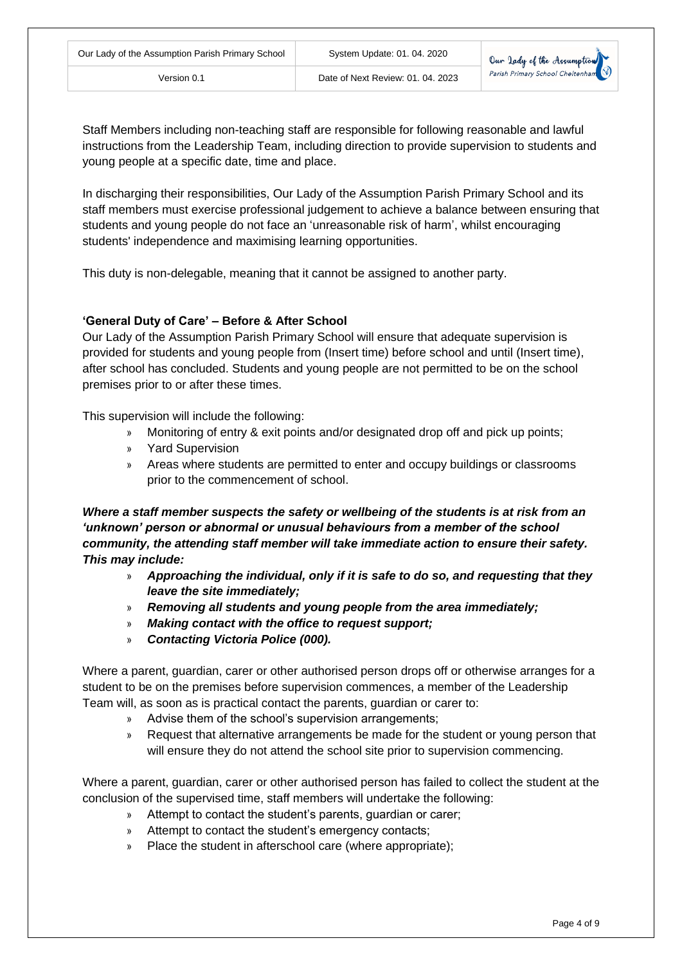

Staff Members including non-teaching staff are responsible for following reasonable and lawful instructions from the Leadership Team, including direction to provide supervision to students and young people at a specific date, time and place.

In discharging their responsibilities, Our Lady of the Assumption Parish Primary School and its staff members must exercise professional judgement to achieve a balance between ensuring that students and young people do not face an 'unreasonable risk of harm', whilst encouraging students' independence and maximising learning opportunities.

This duty is non-delegable, meaning that it cannot be assigned to another party.

## **'General Duty of Care' – Before & After School**

Our Lady of the Assumption Parish Primary School will ensure that adequate supervision is provided for students and young people from (Insert time) before school and until (Insert time), after school has concluded. Students and young people are not permitted to be on the school premises prior to or after these times.

This supervision will include the following:

- » Monitoring of entry & exit points and/or designated drop off and pick up points;
- » Yard Supervision
- » Areas where students are permitted to enter and occupy buildings or classrooms prior to the commencement of school.

*Where a staff member suspects the safety or wellbeing of the students is at risk from an 'unknown' person or abnormal or unusual behaviours from a member of the school community, the attending staff member will take immediate action to ensure their safety. This may include:*

- » *Approaching the individual, only if it is safe to do so, and requesting that they leave the site immediately;*
- » *Removing all students and young people from the area immediately;*
- » *Making contact with the office to request support;*
- » *Contacting Victoria Police (000).*

Where a parent, guardian, carer or other authorised person drops off or otherwise arranges for a student to be on the premises before supervision commences, a member of the Leadership Team will, as soon as is practical contact the parents, guardian or carer to:

- » Advise them of the school's supervision arrangements;
- » Request that alternative arrangements be made for the student or young person that will ensure they do not attend the school site prior to supervision commencing.

Where a parent, guardian, carer or other authorised person has failed to collect the student at the conclusion of the supervised time, staff members will undertake the following:

- » Attempt to contact the student's parents, guardian or carer;
- » Attempt to contact the student's emergency contacts;
- » Place the student in afterschool care (where appropriate);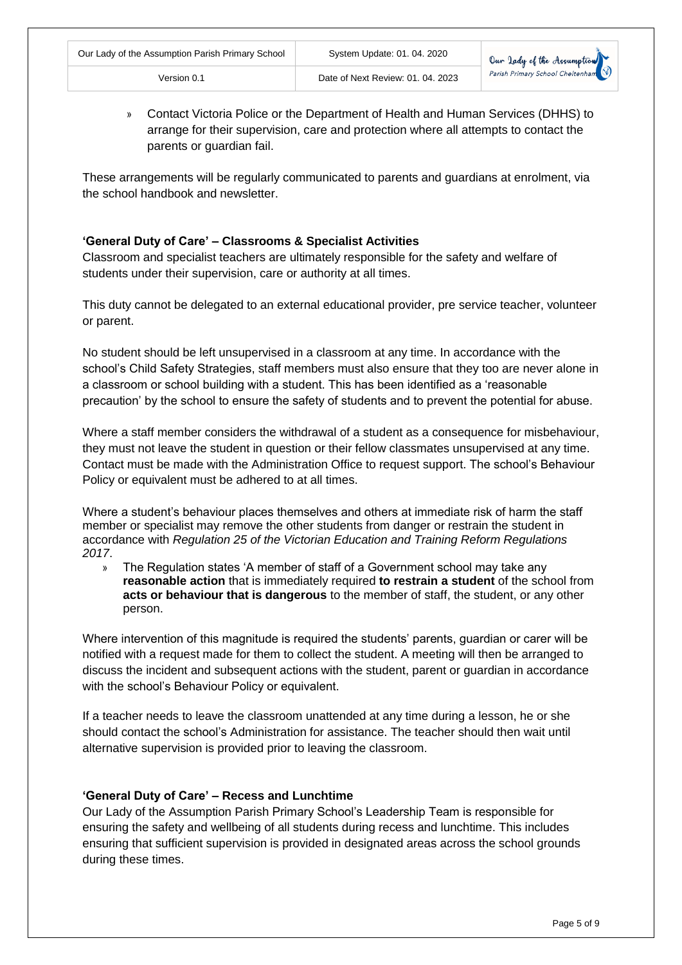» Contact Victoria Police or the Department of Health and Human Services (DHHS) to arrange for their supervision, care and protection where all attempts to contact the parents or guardian fail.

These arrangements will be regularly communicated to parents and guardians at enrolment, via the school handbook and newsletter.

# **'General Duty of Care' – Classrooms & Specialist Activities**

Classroom and specialist teachers are ultimately responsible for the safety and welfare of students under their supervision, care or authority at all times.

This duty cannot be delegated to an external educational provider, pre service teacher, volunteer or parent.

No student should be left unsupervised in a classroom at any time. In accordance with the school's Child Safety Strategies, staff members must also ensure that they too are never alone in a classroom or school building with a student. This has been identified as a 'reasonable precaution' by the school to ensure the safety of students and to prevent the potential for abuse.

Where a staff member considers the withdrawal of a student as a consequence for misbehaviour, they must not leave the student in question or their fellow classmates unsupervised at any time. Contact must be made with the Administration Office to request support. The school's Behaviour Policy or equivalent must be adhered to at all times.

Where a student's behaviour places themselves and others at immediate risk of harm the staff member or specialist may remove the other students from danger or restrain the student in accordance with *Regulation 25 of the Victorian Education and Training Reform Regulations 2017*.

» The Regulation states 'A member of staff of a Government school may take any **reasonable action** that is immediately required **to restrain a student** of the school from **acts or behaviour that is dangerous** to the member of staff, the student, or any other person.

Where intervention of this magnitude is required the students' parents, guardian or carer will be notified with a request made for them to collect the student. A meeting will then be arranged to discuss the incident and subsequent actions with the student, parent or guardian in accordance with the school's Behaviour Policy or equivalent.

If a teacher needs to leave the classroom unattended at any time during a lesson, he or she should contact the school's Administration for assistance. The teacher should then wait until alternative supervision is provided prior to leaving the classroom.

# **'General Duty of Care' – Recess and Lunchtime**

Our Lady of the Assumption Parish Primary School's Leadership Team is responsible for ensuring the safety and wellbeing of all students during recess and lunchtime. This includes ensuring that sufficient supervision is provided in designated areas across the school grounds during these times.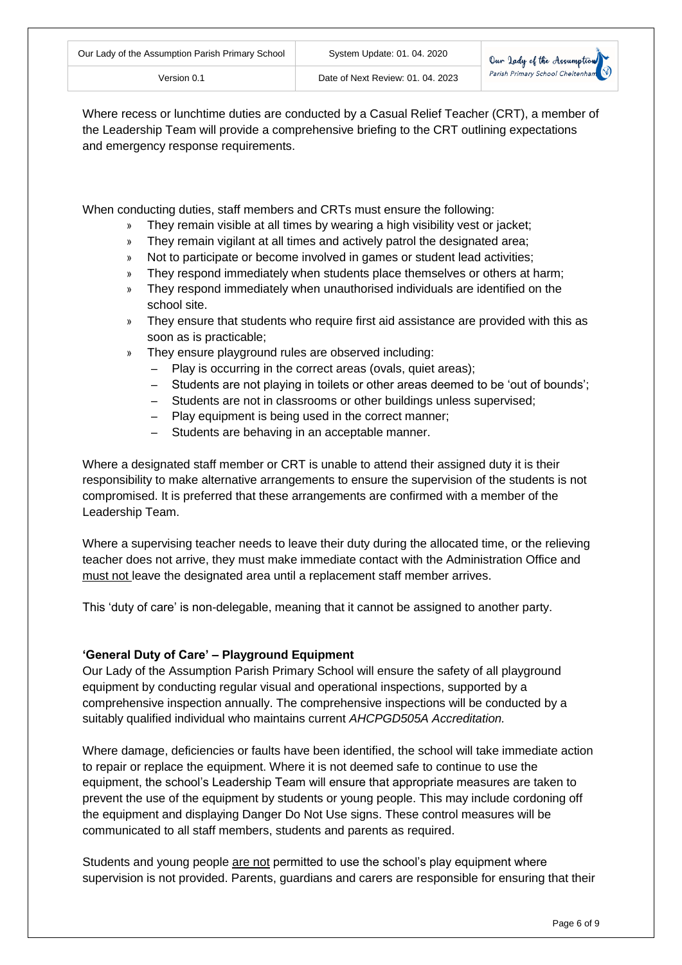Where recess or lunchtime duties are conducted by a Casual Relief Teacher (CRT), a member of the Leadership Team will provide a comprehensive briefing to the CRT outlining expectations and emergency response requirements.

Version 0.1 Date of Next Review: 01. 04. 2023

When conducting duties, staff members and CRTs must ensure the following:

- » They remain visible at all times by wearing a high visibility vest or jacket;
- » They remain vigilant at all times and actively patrol the designated area;
- » Not to participate or become involved in games or student lead activities;
- » They respond immediately when students place themselves or others at harm;
- » They respond immediately when unauthorised individuals are identified on the school site.
- » They ensure that students who require first aid assistance are provided with this as soon as is practicable;
- » They ensure playground rules are observed including:
	- ‒ Play is occurring in the correct areas (ovals, quiet areas);
	- ‒ Students are not playing in toilets or other areas deemed to be 'out of bounds';
	- ‒ Students are not in classrooms or other buildings unless supervised;
	- ‒ Play equipment is being used in the correct manner;
	- Students are behaving in an acceptable manner.

Where a designated staff member or CRT is unable to attend their assigned duty it is their responsibility to make alternative arrangements to ensure the supervision of the students is not compromised. It is preferred that these arrangements are confirmed with a member of the Leadership Team.

Where a supervising teacher needs to leave their duty during the allocated time, or the relieving teacher does not arrive, they must make immediate contact with the Administration Office and must not leave the designated area until a replacement staff member arrives.

This 'duty of care' is non-delegable, meaning that it cannot be assigned to another party.

# **'General Duty of Care' – Playground Equipment**

Our Lady of the Assumption Parish Primary School will ensure the safety of all playground equipment by conducting regular visual and operational inspections, supported by a comprehensive inspection annually. The comprehensive inspections will be conducted by a suitably qualified individual who maintains current *AHCPGD505A Accreditation.*

Where damage, deficiencies or faults have been identified, the school will take immediate action to repair or replace the equipment. Where it is not deemed safe to continue to use the equipment, the school's Leadership Team will ensure that appropriate measures are taken to prevent the use of the equipment by students or young people. This may include cordoning off the equipment and displaying Danger Do Not Use signs. These control measures will be communicated to all staff members, students and parents as required.

Students and young people are not permitted to use the school's play equipment where supervision is not provided. Parents, guardians and carers are responsible for ensuring that their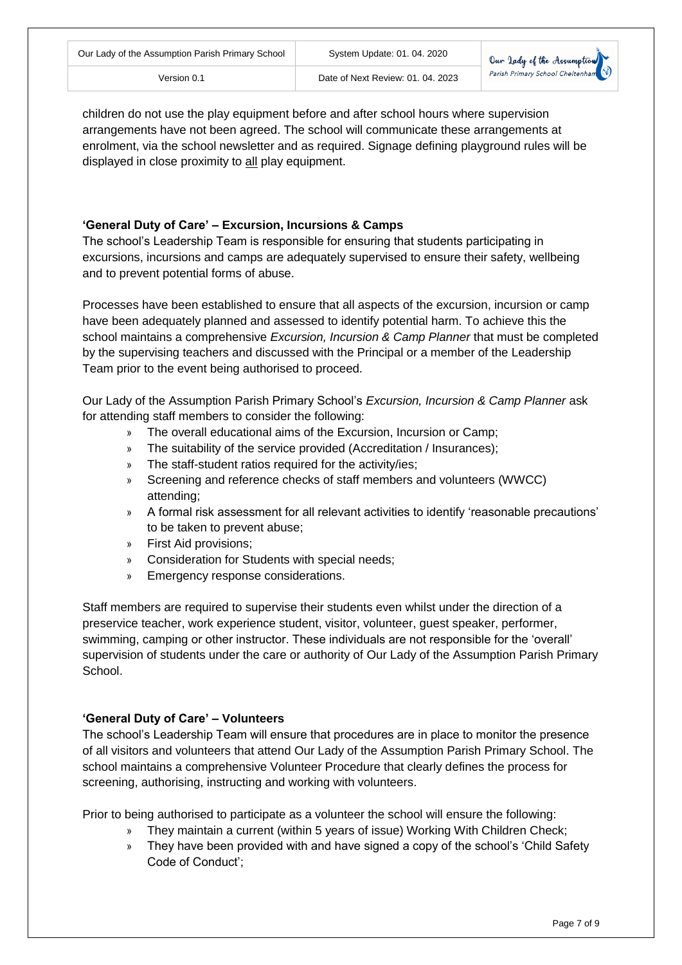children do not use the play equipment before and after school hours where supervision arrangements have not been agreed. The school will communicate these arrangements at enrolment, via the school newsletter and as required. Signage defining playground rules will be displayed in close proximity to all play equipment.

# **'General Duty of Care' – Excursion, Incursions & Camps**

The school's Leadership Team is responsible for ensuring that students participating in excursions, incursions and camps are adequately supervised to ensure their safety, wellbeing and to prevent potential forms of abuse.

Processes have been established to ensure that all aspects of the excursion, incursion or camp have been adequately planned and assessed to identify potential harm. To achieve this the school maintains a comprehensive *Excursion, Incursion & Camp Planner* that must be completed by the supervising teachers and discussed with the Principal or a member of the Leadership Team prior to the event being authorised to proceed.

Our Lady of the Assumption Parish Primary School's *Excursion, Incursion & Camp Planner* ask for attending staff members to consider the following:

- » The overall educational aims of the Excursion, Incursion or Camp;
- » The suitability of the service provided (Accreditation / Insurances);
- » The staff-student ratios required for the activity/ies;
- » Screening and reference checks of staff members and volunteers (WWCC) attending;
- » A formal risk assessment for all relevant activities to identify 'reasonable precautions' to be taken to prevent abuse;
- » First Aid provisions;
- » Consideration for Students with special needs;
- » Emergency response considerations.

Staff members are required to supervise their students even whilst under the direction of a preservice teacher, work experience student, visitor, volunteer, guest speaker, performer, swimming, camping or other instructor. These individuals are not responsible for the 'overall' supervision of students under the care or authority of Our Lady of the Assumption Parish Primary School.

# **'General Duty of Care' – Volunteers**

The school's Leadership Team will ensure that procedures are in place to monitor the presence of all visitors and volunteers that attend Our Lady of the Assumption Parish Primary School. The school maintains a comprehensive Volunteer Procedure that clearly defines the process for screening, authorising, instructing and working with volunteers.

Prior to being authorised to participate as a volunteer the school will ensure the following:

- » They maintain a current (within 5 years of issue) Working With Children Check;
- » They have been provided with and have signed a copy of the school's 'Child Safety Code of Conduct';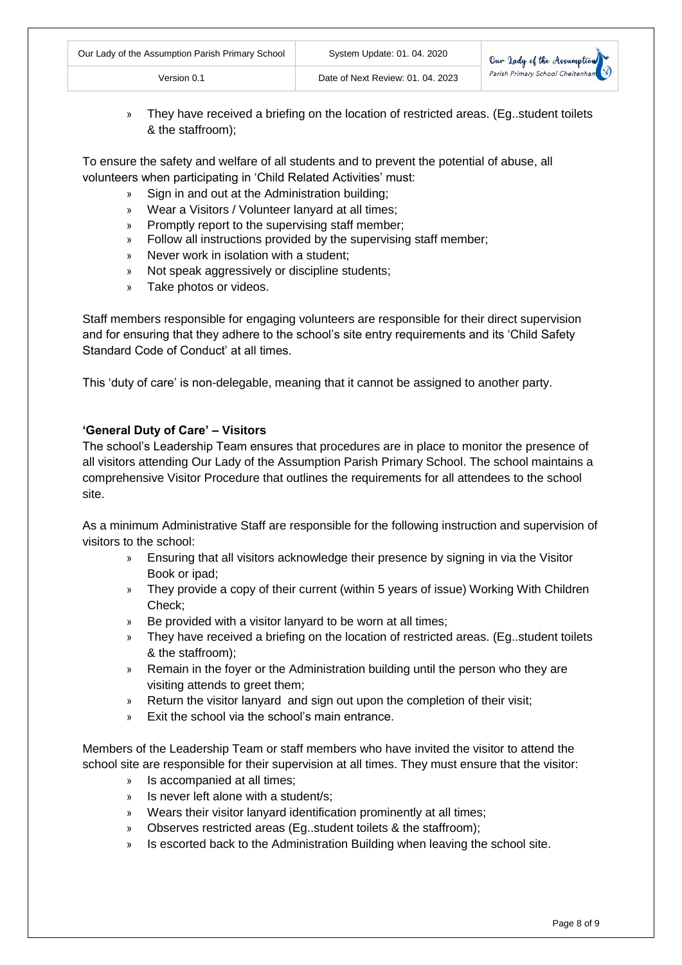| Our Lady of the Assumption Parish Primary School | System Update: 01. 04. 2020       | Our Jady of the Assumption<br>Parish Primary School Cheltenham |
|--------------------------------------------------|-----------------------------------|----------------------------------------------------------------|
| Version 0.1                                      | Date of Next Review: 01, 04, 2023 |                                                                |

» They have received a briefing on the location of restricted areas. (Eg..student toilets & the staffroom);

To ensure the safety and welfare of all students and to prevent the potential of abuse, all volunteers when participating in 'Child Related Activities' must:

- » Sign in and out at the Administration building;
- » Wear a Visitors / Volunteer lanyard at all times;
- » Promptly report to the supervising staff member;
- » Follow all instructions provided by the supervising staff member;
- » Never work in isolation with a student;
- » Not speak aggressively or discipline students;
- » Take photos or videos.

Staff members responsible for engaging volunteers are responsible for their direct supervision and for ensuring that they adhere to the school's site entry requirements and its 'Child Safety Standard Code of Conduct' at all times.

This 'duty of care' is non-delegable, meaning that it cannot be assigned to another party.

## **'General Duty of Care' – Visitors**

The school's Leadership Team ensures that procedures are in place to monitor the presence of all visitors attending Our Lady of the Assumption Parish Primary School. The school maintains a comprehensive Visitor Procedure that outlines the requirements for all attendees to the school site.

As a minimum Administrative Staff are responsible for the following instruction and supervision of visitors to the school:

- » Ensuring that all visitors acknowledge their presence by signing in via the Visitor Book or ipad;
- » They provide a copy of their current (within 5 years of issue) Working With Children Check;
- » Be provided with a visitor lanyard to be worn at all times;
- » They have received a briefing on the location of restricted areas. (Eg..student toilets & the staffroom);
- » Remain in the foyer or the Administration building until the person who they are visiting attends to greet them;
- Return the visitor lanyard and sign out upon the completion of their visit;
- Exit the school via the school's main entrance.

Members of the Leadership Team or staff members who have invited the visitor to attend the school site are responsible for their supervision at all times. They must ensure that the visitor:

- » Is accompanied at all times;
- » Is never left alone with a student/s;
- » Wears their visitor lanyard identification prominently at all times;
- » Observes restricted areas (Eg..student toilets & the staffroom);
- » Is escorted back to the Administration Building when leaving the school site.